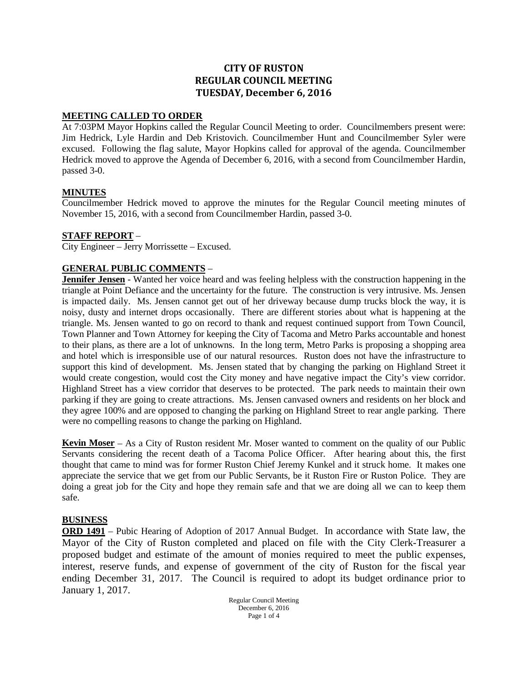# **CITY OF RUSTON REGULAR COUNCIL MEETING TUESDAY, December 6, 2016**

# **MEETING CALLED TO ORDER**

At 7:03PM Mayor Hopkins called the Regular Council Meeting to order. Councilmembers present were: Jim Hedrick, Lyle Hardin and Deb Kristovich. Councilmember Hunt and Councilmember Syler were excused. Following the flag salute, Mayor Hopkins called for approval of the agenda. Councilmember Hedrick moved to approve the Agenda of December 6, 2016, with a second from Councilmember Hardin, passed 3-0.

## **MINUTES**

Councilmember Hedrick moved to approve the minutes for the Regular Council meeting minutes of November 15, 2016, with a second from Councilmember Hardin, passed 3-0.

## **STAFF REPORT** –

City Engineer – Jerry Morrissette – Excused.

## **GENERAL PUBLIC COMMENTS** –

**Jennifer Jensen** - Wanted her voice heard and was feeling helpless with the construction happening in the triangle at Point Defiance and the uncertainty for the future. The construction is very intrusive. Ms. Jensen is impacted daily. Ms. Jensen cannot get out of her driveway because dump trucks block the way, it is noisy, dusty and internet drops occasionally. There are different stories about what is happening at the triangle. Ms. Jensen wanted to go on record to thank and request continued support from Town Council, Town Planner and Town Attorney for keeping the City of Tacoma and Metro Parks accountable and honest to their plans, as there are a lot of unknowns. In the long term, Metro Parks is proposing a shopping area and hotel which is irresponsible use of our natural resources. Ruston does not have the infrastructure to support this kind of development. Ms. Jensen stated that by changing the parking on Highland Street it would create congestion, would cost the City money and have negative impact the City's view corridor. Highland Street has a view corridor that deserves to be protected. The park needs to maintain their own parking if they are going to create attractions. Ms. Jensen canvased owners and residents on her block and they agree 100% and are opposed to changing the parking on Highland Street to rear angle parking. There were no compelling reasons to change the parking on Highland.

**Kevin Moser** – As a City of Ruston resident Mr. Moser wanted to comment on the quality of our Public Servants considering the recent death of a Tacoma Police Officer. After hearing about this, the first thought that came to mind was for former Ruston Chief Jeremy Kunkel and it struck home. It makes one appreciate the service that we get from our Public Servants, be it Ruston Fire or Ruston Police. They are doing a great job for the City and hope they remain safe and that we are doing all we can to keep them safe.

#### **BUSINESS**

**ORD 1491** – Pubic Hearing of Adoption of 2017 Annual Budget. In accordance with State law, the Mayor of the City of Ruston completed and placed on file with the City Clerk-Treasurer a proposed budget and estimate of the amount of monies required to meet the public expenses, interest, reserve funds, and expense of government of the city of Ruston for the fiscal year ending December 31, 2017. The Council is required to adopt its budget ordinance prior to January 1, 2017.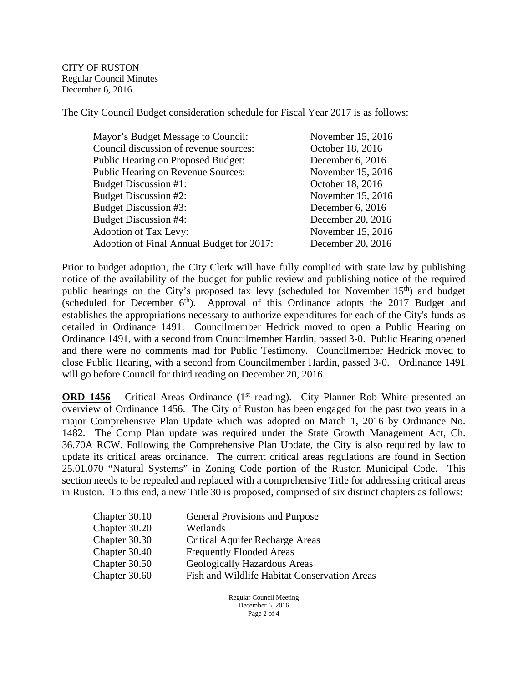CITY OF RUSTON Regular Council Minutes December 6, 2016

The City Council Budget consideration schedule for Fiscal Year 2017 is as follows:

| Mayor's Budget Message to Council:        | November 15, 2016 |
|-------------------------------------------|-------------------|
| Council discussion of revenue sources:    | October 18, 2016  |
| <b>Public Hearing on Proposed Budget:</b> | December 6, 2016  |
| Public Hearing on Revenue Sources:        | November 15, 2016 |
| <b>Budget Discussion #1:</b>              | October 18, 2016  |
| Budget Discussion #2:                     | November 15, 2016 |
| <b>Budget Discussion #3:</b>              | December 6, 2016  |
| <b>Budget Discussion #4:</b>              | December 20, 2016 |
| Adoption of Tax Levy:                     | November 15, 2016 |
| Adoption of Final Annual Budget for 2017: | December 20, 2016 |
|                                           |                   |

Prior to budget adoption, the City Clerk will have fully complied with state law by publishing notice of the availability of the budget for public review and publishing notice of the required public hearings on the City's proposed tax levy (scheduled for November 15<sup>th</sup>) and budget (scheduled for December  $6<sup>th</sup>$ ). Approval of this Ordinance adopts the 2017 Budget and establishes the appropriations necessary to authorize expenditures for each of the City's funds as detailed in Ordinance 1491. Councilmember Hedrick moved to open a Public Hearing on Ordinance 1491, with a second from Councilmember Hardin, passed 3-0. Public Hearing opened and there were no comments mad for Public Testimony. Councilmember Hedrick moved to close Public Hearing, with a second from Councilmember Hardin, passed 3-0. Ordinance 1491 will go before Council for third reading on December 20, 2016.

**ORD 1456** – Critical Areas Ordinance ( $1<sup>st</sup>$  reading). City Planner Rob White presented an overview of Ordinance 1456. The City of Ruston has been engaged for the past two years in a major Comprehensive Plan Update which was adopted on March 1, 2016 by Ordinance No. 1482. The Comp Plan update was required under the State Growth Management Act, Ch. 36.70A RCW. Following the Comprehensive Plan Update, the City is also required by law to update its critical areas ordinance. The current critical areas regulations are found in Section 25.01.070 "Natural Systems" in Zoning Code portion of the Ruston Municipal Code. This section needs to be repealed and replaced with a comprehensive Title for addressing critical areas in Ruston. To this end, a new Title 30 is proposed, comprised of six distinct chapters as follows:

| Chapter 30.10 | General Provisions and Purpose               |
|---------------|----------------------------------------------|
| Chapter 30.20 | Wetlands                                     |
| Chapter 30.30 | <b>Critical Aquifer Recharge Areas</b>       |
| Chapter 30.40 | <b>Frequently Flooded Areas</b>              |
| Chapter 30.50 | Geologically Hazardous Areas                 |
| Chapter 30.60 | Fish and Wildlife Habitat Conservation Areas |
|               |                                              |

Regular Council Meeting December 6, 2016 Page 2 of 4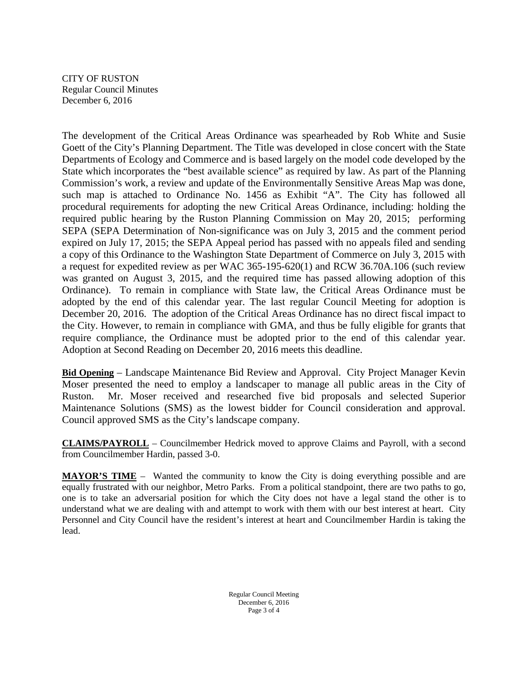CITY OF RUSTON Regular Council Minutes December 6, 2016

The development of the Critical Areas Ordinance was spearheaded by Rob White and Susie Goett of the City's Planning Department. The Title was developed in close concert with the State Departments of Ecology and Commerce and is based largely on the model code developed by the State which incorporates the "best available science" as required by law. As part of the Planning Commission's work, a review and update of the Environmentally Sensitive Areas Map was done, such map is attached to Ordinance No. 1456 as Exhibit "A". The City has followed all procedural requirements for adopting the new Critical Areas Ordinance, including: holding the required public hearing by the Ruston Planning Commission on May 20, 2015; performing SEPA (SEPA Determination of Non-significance was on July 3, 2015 and the comment period expired on July 17, 2015; the SEPA Appeal period has passed with no appeals filed and sending a copy of this Ordinance to the Washington State Department of Commerce on July 3, 2015 with a request for expedited review as per WAC 365-195-620(1) and RCW 36.70A.106 (such review was granted on August 3, 2015, and the required time has passed allowing adoption of this Ordinance). To remain in compliance with State law, the Critical Areas Ordinance must be adopted by the end of this calendar year. The last regular Council Meeting for adoption is December 20, 2016. The adoption of the Critical Areas Ordinance has no direct fiscal impact to the City. However, to remain in compliance with GMA, and thus be fully eligible for grants that require compliance, the Ordinance must be adopted prior to the end of this calendar year. Adoption at Second Reading on December 20, 2016 meets this deadline.

**Bid Opening** – Landscape Maintenance Bid Review and Approval. City Project Manager Kevin Moser presented the need to employ a landscaper to manage all public areas in the City of Ruston. Mr. Moser received and researched five bid proposals and selected Superior Maintenance Solutions (SMS) as the lowest bidder for Council consideration and approval. Council approved SMS as the City's landscape company.

**CLAIMS/PAYROLL** – Councilmember Hedrick moved to approve Claims and Payroll, with a second from Councilmember Hardin, passed 3-0.

**MAYOR'S TIME** – Wanted the community to know the City is doing everything possible and are equally frustrated with our neighbor, Metro Parks. From a political standpoint, there are two paths to go, one is to take an adversarial position for which the City does not have a legal stand the other is to understand what we are dealing with and attempt to work with them with our best interest at heart. City Personnel and City Council have the resident's interest at heart and Councilmember Hardin is taking the lead.

> Regular Council Meeting December 6, 2016 Page 3 of 4